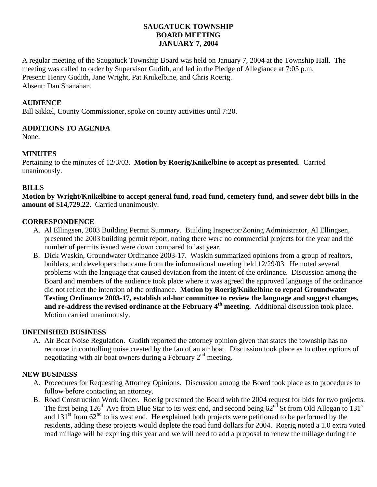## **SAUGATUCK TOWNSHIP BOARD MEETING JANUARY 7, 2004**

A regular meeting of the Saugatuck Township Board was held on January 7, 2004 at the Township Hall. The meeting was called to order by Supervisor Gudith, and led in the Pledge of Allegiance at 7:05 p.m. Present: Henry Gudith, Jane Wright, Pat Knikelbine, and Chris Roerig. Absent: Dan Shanahan.

## **AUDIENCE**

Bill Sikkel, County Commissioner, spoke on county activities until 7:20.

## **ADDITIONS TO AGENDA**

None.

## **MINUTES**

Pertaining to the minutes of 12/3/03. **Motion by Roerig/Knikelbine to accept as presented**. Carried unanimously.

## **BILLS**

**Motion by Wright/Knikelbine to accept general fund, road fund, cemetery fund, and sewer debt bills in the amount of \$14,729.22**. Carried unanimously.

## **CORRESPONDENCE**

- A. Al Ellingsen, 2003 Building Permit Summary. Building Inspector/Zoning Administrator, Al Ellingsen, presented the 2003 building permit report, noting there were no commercial projects for the year and the number of permits issued were down compared to last year.
- B. Dick Waskin, Groundwater Ordinance 2003-17. Waskin summarized opinions from a group of realtors, builders, and developers that came from the informational meeting held 12/29/03. He noted several problems with the language that caused deviation from the intent of the ordinance. Discussion among the Board and members of the audience took place where it was agreed the approved language of the ordinance did not reflect the intention of the ordinance. **Motion by Roerig/Knikelbine to repeal Groundwater Testing Ordinance 2003-17, establish ad-hoc committee to review the language and suggest changes,**  and re-address the revised ordinance at the February 4<sup>th</sup> meeting. Additional discussion took place. Motion carried unanimously.

## **UNFINISHED BUSINESS**

A. Air Boat Noise Regulation. Gudith reported the attorney opinion given that states the township has no recourse in controlling noise created by the fan of an air boat. Discussion took place as to other options of negotiating with air boat owners during a February  $2<sup>nd</sup>$  meeting.

## **NEW BUSINESS**

- A. Procedures for Requesting Attorney Opinions. Discussion among the Board took place as to procedures to follow before contacting an attorney.
- B. Road Construction Work Order. Roerig presented the Board with the 2004 request for bids for two projects. The first being  $126<sup>th</sup>$  Ave from Blue Star to its west end, and second being  $62<sup>nd</sup>$  St from Old Allegan to  $131<sup>st</sup>$ and  $131<sup>st</sup>$  from  $62<sup>nd</sup>$  to its west end. He explained both projects were petitioned to be performed by the residents, adding these projects would deplete the road fund dollars for 2004. Roerig noted a 1.0 extra voted road millage will be expiring this year and we will need to add a proposal to renew the millage during the